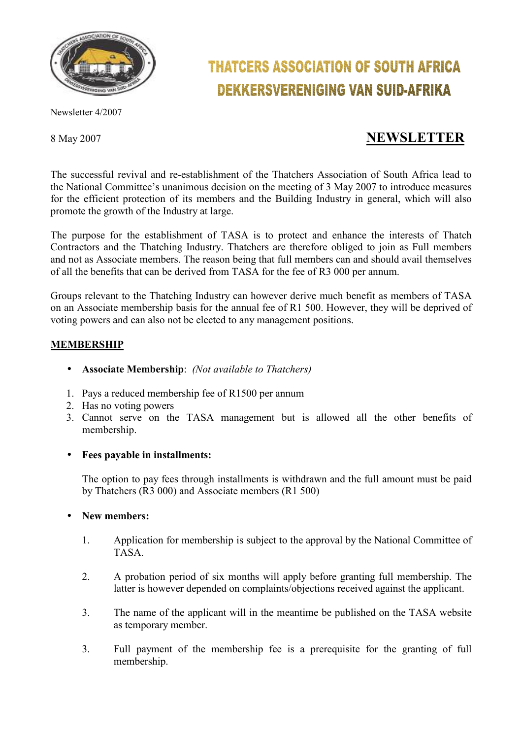

# **THATCERS ASSOCIATION OF SOUTH AFRICA DEKKERSVERENIGING VAN SUID-AFRIKA**

Newsletter 4/2007

# 8 May 2007 **NEWSLETTER**

The successful revival and re-establishment of the Thatchers Association of South Africa lead to the National Committee's unanimous decision on the meeting of 3 May 2007 to introduce measures for the efficient protection of its members and the Building Industry in general, which will also promote the growth of the Industry at large.

The purpose for the establishment of TASA is to protect and enhance the interests of Thatch Contractors and the Thatching Industry. Thatchers are therefore obliged to join as Full members and not as Associate members. The reason being that full members can and should avail themselves of all the benefits that can be derived from TASA for the fee of R3 000 per annum.

Groups relevant to the Thatching Industry can however derive much benefit as members of TASA on an Associate membership basis for the annual fee of R1 500. However, they will be deprived of voting powers and can also not be elected to any management positions.

# **MEMBERSHIP**

- **Associate Membership**: *(Not available to Thatchers)*
- 1. Pays a reduced membership fee of R1500 per annum
- 2. Has no voting powers
- 3. Cannot serve on the TASA management but is allowed all the other benefits of membership.

#### • **Fees payable in installments:**

The option to pay fees through installments is withdrawn and the full amount must be paid by Thatchers (R3 000) and Associate members (R1 500)

#### • **New members:**

- 1. Application for membership is subject to the approval by the National Committee of TASA.
- 2. A probation period of six months will apply before granting full membership. The latter is however depended on complaints/objections received against the applicant.
- 3. The name of the applicant will in the meantime be published on the TASA website as temporary member.
- 3. Full payment of the membership fee is a prerequisite for the granting of full membership.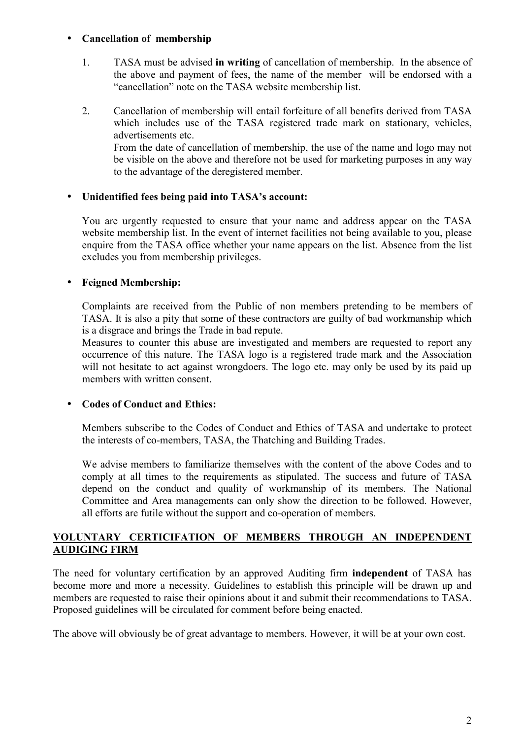#### • **Cancellation of membership**

- 1. TASA must be advised **in writing** of cancellation of membership. In the absence of the above and payment of fees, the name of the member will be endorsed with a "cancellation" note on the TASA website membership list.
- 2. Cancellation of membership will entail forfeiture of all benefits derived from TASA which includes use of the TASA registered trade mark on stationary, vehicles, advertisements etc. From the date of cancellation of membership, the use of the name and logo may not be visible on the above and therefore not be used for marketing purposes in any way to the advantage of the deregistered member.

#### • **Unidentified fees being paid into TASA's account:**

You are urgently requested to ensure that your name and address appear on the TASA website membership list. In the event of internet facilities not being available to you, please enquire from the TASA office whether your name appears on the list. Absence from the list excludes you from membership privileges.

#### • **Feigned Membership:**

Complaints are received from the Public of non members pretending to be members of TASA. It is also a pity that some of these contractors are guilty of bad workmanship which is a disgrace and brings the Trade in bad repute.

Measures to counter this abuse are investigated and members are requested to report any occurrence of this nature. The TASA logo is a registered trade mark and the Association will not hesitate to act against wrongdoers. The logo etc. may only be used by its paid up members with written consent.

#### • **Codes of Conduct and Ethics:**

Members subscribe to the Codes of Conduct and Ethics of TASA and undertake to protect the interests of co-members, TASA, the Thatching and Building Trades.

We advise members to familiarize themselves with the content of the above Codes and to comply at all times to the requirements as stipulated. The success and future of TASA depend on the conduct and quality of workmanship of its members. The National Committee and Area managements can only show the direction to be followed. However, all efforts are futile without the support and co-operation of members.

#### **VOLUNTARY CERTICIFATION OF MEMBERS THROUGH AN INDEPENDENT AUDIGING FIRM**

The need for voluntary certification by an approved Auditing firm **independent** of TASA has become more and more a necessity. Guidelines to establish this principle will be drawn up and members are requested to raise their opinions about it and submit their recommendations to TASA. Proposed guidelines will be circulated for comment before being enacted.

The above will obviously be of great advantage to members. However, it will be at your own cost.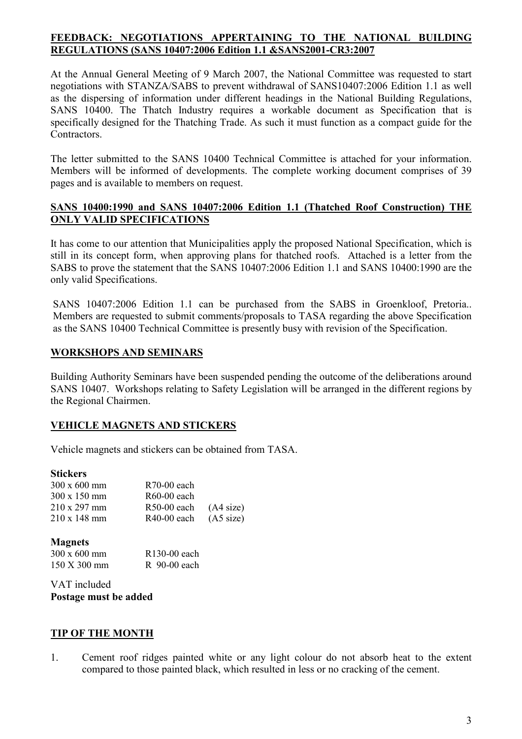#### **FEEDBACK: NEGOTIATIONS APPERTAINING TO THE NATIONAL BUILDING REGULATIONS (SANS 10407:2006 Edition 1.1 &SANS2001-CR3:2007**

At the Annual General Meeting of 9 March 2007, the National Committee was requested to start negotiations with STANZA/SABS to prevent withdrawal of SANS10407:2006 Edition 1.1 as well as the dispersing of information under different headings in the National Building Regulations, SANS 10400. The Thatch Industry requires a workable document as Specification that is specifically designed for the Thatching Trade. As such it must function as a compact guide for the **Contractors** 

The letter submitted to the SANS 10400 Technical Committee is attached for your information. Members will be informed of developments. The complete working document comprises of 39 pages and is available to members on request.

### **SANS 10400:1990 and SANS 10407:2006 Edition 1.1 (Thatched Roof Construction) THE ONLY VALID SPECIFICATIONS**

It has come to our attention that Municipalities apply the proposed National Specification, which is still in its concept form, when approving plans for thatched roofs. Attached is a letter from the SABS to prove the statement that the SANS 10407:2006 Edition 1.1 and SANS 10400:1990 are the only valid Specifications.

SANS 10407:2006 Edition 1.1 can be purchased from the SABS in Groenkloof, Pretoria.. Members are requested to submit comments/proposals to TASA regarding the above Specification as the SANS 10400 Technical Committee is presently busy with revision of the Specification.

# **WORKSHOPS AND SEMINARS**

Building Authority Seminars have been suspended pending the outcome of the deliberations around SANS 10407. Workshops relating to Safety Legislation will be arranged in the different regions by the Regional Chairmen.

# **VEHICLE MAGNETS AND STICKERS**

Vehicle magnets and stickers can be obtained from TASA.

#### **Stickers**

| $300 \times 600$ mm | $R70-00$ each |                     |
|---------------------|---------------|---------------------|
| $300 \times 150$ mm | $R60-00$ each |                     |
| $210 \times 297$ mm | $R50-00$ each | (A4 size)           |
| $210 \times 148$ mm | $R40-00$ each | $(45 \text{ size})$ |

#### **Magnets**

| 300 x 600 mm                    | R <sub>130</sub> -00 each |
|---------------------------------|---------------------------|
| $150 \text{ X } 300 \text{ mm}$ | $R$ 90-00 each            |

VAT included **Postage must be added** 

# **TIP OF THE MONTH**

1. Cement roof ridges painted white or any light colour do not absorb heat to the extent compared to those painted black, which resulted in less or no cracking of the cement.